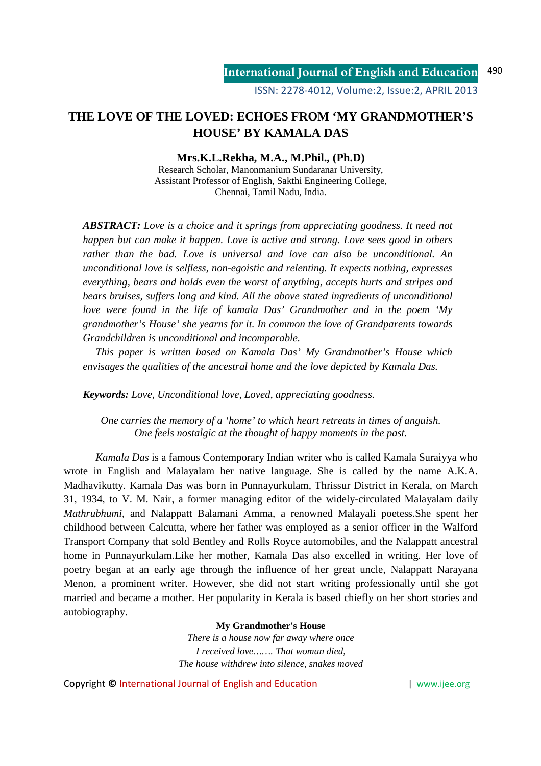# **THE LOVE OF THE LOVED: ECHOES FROM 'MY GRANDMOTHER'S HOUSE' BY KAMALA DAS**

**Mrs.K.L.Rekha, M.A., M.Phil., (Ph.D)** 

Research Scholar, Manonmanium Sundaranar University, Assistant Professor of English, Sakthi Engineering College, Chennai, Tamil Nadu, India.

*ABSTRACT: Love is a choice and it springs from appreciating goodness. It need not happen but can make it happen. Love is active and strong. Love sees good in others rather than the bad. Love is universal and love can also be unconditional. An unconditional love is selfless, non-egoistic and relenting. It expects nothing, expresses everything, bears and holds even the worst of anything, accepts hurts and stripes and bears bruises, suffers long and kind. All the above stated ingredients of unconditional love were found in the life of kamala Das' Grandmother and in the poem 'My grandmother's House' she yearns for it. In common the love of Grandparents towards Grandchildren is unconditional and incomparable.* 

 *This paper is written based on Kamala Das' My Grandmother's House which envisages the qualities of the ancestral home and the love depicted by Kamala Das.* 

*Keywords: Love, Unconditional love, Loved, appreciating goodness.* 

*One carries the memory of a 'home' to which heart retreats in times of anguish. One feels nostalgic at the thought of happy moments in the past.*

*Kamala Das* is a famous Contemporary Indian writer who is called Kamala Suraiyya who wrote in English and Malayalam her native language. She is called by the name A.K.A. Madhavikutty. Kamala Das was born in Punnayurkulam, Thrissur District in Kerala, on March 31, 1934, to V. M. Nair, a former managing editor of the widely-circulated Malayalam daily *Mathrubhumi*, and Nalappatt Balamani Amma, a renowned Malayali poetess.She spent her childhood between Calcutta, where her father was employed as a senior officer in the Walford Transport Company that sold Bentley and Rolls Royce automobiles, and the Nalappatt ancestral home in Punnayurkulam.Like her mother, Kamala Das also excelled in writing. Her love of poetry began at an early age through the influence of her great uncle, Nalappatt Narayana Menon, a prominent writer. However, she did not start writing professionally until she got married and became a mother. Her popularity in Kerala is based chiefly on her short stories and autobiography.

### **My Grandmother's House**

*There is a house now far away where once I received love……. That woman died, The house withdrew into silence, snakes moved* 

Copyright **©** International Journal of English and Education | www.ijee.org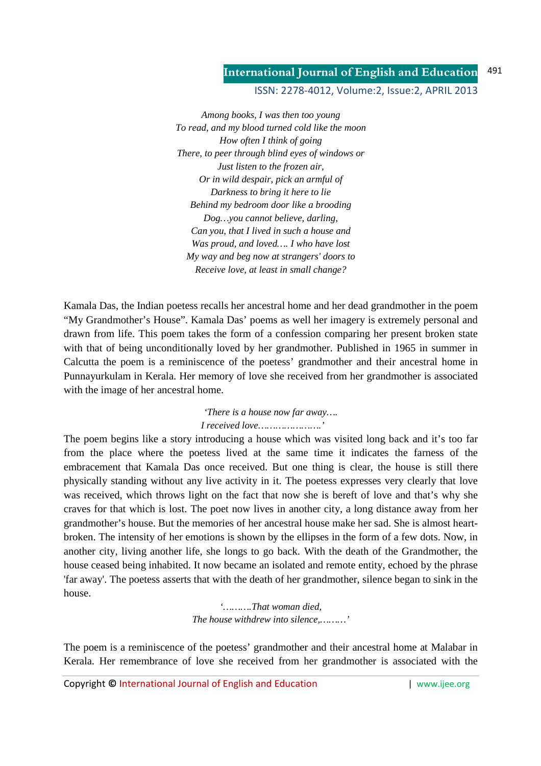#### **International Journal of English and Education** 491

ISSN: 2278-4012, Volume:2, Issue:2, APRIL 2013

*Among books, I was then too young To read, and my blood turned cold like the moon How often I think of going There, to peer through blind eyes of windows or Just listen to the frozen air, Or in wild despair, pick an armful of Darkness to bring it here to lie Behind my bedroom door like a brooding Dog…you cannot believe, darling, Can you, that I lived in such a house and Was proud, and loved…. I who have lost My way and beg now at strangers' doors to Receive love, at least in small change?* 

Kamala Das, the Indian poetess recalls her ancestral home and her dead grandmother in the poem "My Grandmother's House". Kamala Das' poems as well her imagery is extremely personal and drawn from life. This poem takes the form of a confession comparing her present broken state with that of being unconditionally loved by her grandmother. Published in 1965 in summer in Calcutta the poem is a reminiscence of the poetess' grandmother and their ancestral home in Punnayurkulam in Kerala. Her memory of love she received from her grandmother is associated with the image of her ancestral home.

> *'There is a house now far away…. I received love………………….'*

The poem begins like a story introducing a house which was visited long back and it's too far from the place where the poetess lived at the same time it indicates the farness of the embracement that Kamala Das once received. But one thing is clear, the house is still there physically standing without any live activity in it. The poetess expresses very clearly that love was received, which throws light on the fact that now she is bereft of love and that's why she craves for that which is lost. The poet now lives in another city, a long distance away from her grandmother's house. But the memories of her ancestral house make her sad. She is almost heartbroken. The intensity of her emotions is shown by the ellipses in the form of a few dots. Now, in another city, living another life, she longs to go back. With the death of the Grandmother, the house ceased being inhabited. It now became an isolated and remote entity, echoed by the phrase 'far away'. The poetess asserts that with the death of her grandmother, silence began to sink in the house.

> *'……….That woman died, The house withdrew into silence,………'*

The poem is a reminiscence of the poetess' grandmother and their ancestral home at Malabar in Kerala. Her remembrance of love she received from her grandmother is associated with the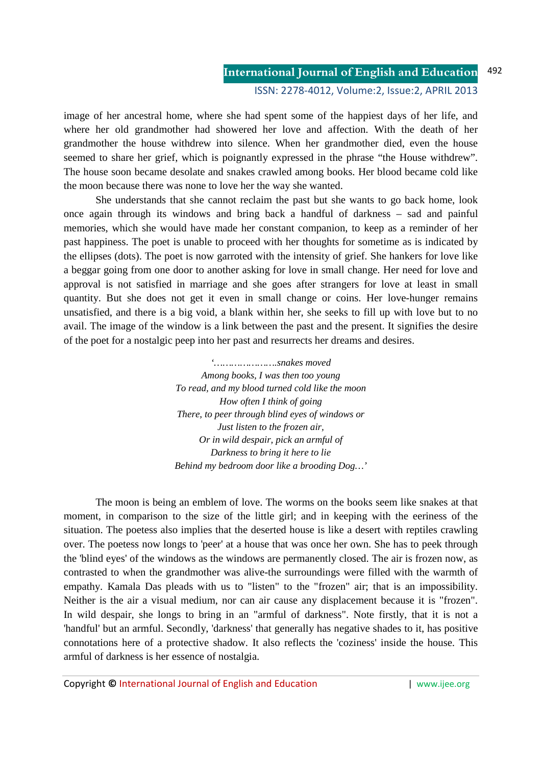### **International Journal of English and Education** ISSN: 2278-4012, Volume:2, Issue:2, APRIL 2013 492

image of her ancestral home, where she had spent some of the happiest days of her life, and where her old grandmother had showered her love and affection. With the death of her grandmother the house withdrew into silence. When her grandmother died, even the house seemed to share her grief, which is poignantly expressed in the phrase "the House withdrew". The house soon became desolate and snakes crawled among books. Her blood became cold like the moon because there was none to love her the way she wanted.

 She understands that she cannot reclaim the past but she wants to go back home, look once again through its windows and bring back a handful of darkness – sad and painful memories, which she would have made her constant companion, to keep as a reminder of her past happiness. The poet is unable to proceed with her thoughts for sometime as is indicated by the ellipses (dots). The poet is now garroted with the intensity of grief. She hankers for love like a beggar going from one door to another asking for love in small change. Her need for love and approval is not satisfied in marriage and she goes after strangers for love at least in small quantity. But she does not get it even in small change or coins. Her love-hunger remains unsatisfied, and there is a big void, a blank within her, she seeks to fill up with love but to no avail. The image of the window is a link between the past and the present. It signifies the desire of the poet for a nostalgic peep into her past and resurrects her dreams and desires.

> *'………………….snakes moved Among books, I was then too young To read, and my blood turned cold like the moon How often I think of going There, to peer through blind eyes of windows or Just listen to the frozen air, Or in wild despair, pick an armful of Darkness to bring it here to lie Behind my bedroom door like a brooding Dog…'*

 The moon is being an emblem of love. The worms on the books seem like snakes at that moment, in comparison to the size of the little girl; and in keeping with the eeriness of the situation. The poetess also implies that the deserted house is like a desert with reptiles crawling over. The poetess now longs to 'peer' at a house that was once her own. She has to peek through the 'blind eyes' of the windows as the windows are permanently closed. The air is frozen now, as contrasted to when the grandmother was alive-the surroundings were filled with the warmth of empathy. Kamala Das pleads with us to "listen" to the "frozen" air; that is an impossibility. Neither is the air a visual medium, nor can air cause any displacement because it is "frozen". In wild despair, she longs to bring in an "armful of darkness". Note firstly, that it is not a 'handful' but an armful. Secondly, 'darkness' that generally has negative shades to it, has positive connotations here of a protective shadow. It also reflects the 'coziness' inside the house. This armful of darkness is her essence of nostalgia.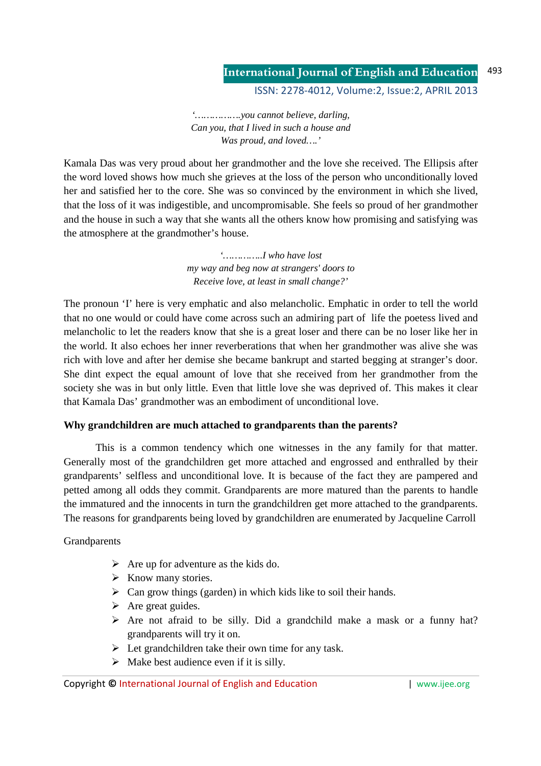#### **International Journal of English and Education** 493

ISSN: 2278-4012, Volume:2, Issue:2, APRIL 2013

*'…………….you cannot believe, darling, Can you, that I lived in such a house and Was proud, and loved….'* 

Kamala Das was very proud about her grandmother and the love she received. The Ellipsis after the word loved shows how much she grieves at the loss of the person who unconditionally loved her and satisfied her to the core. She was so convinced by the environment in which she lived, that the loss of it was indigestible, and uncompromisable. She feels so proud of her grandmother and the house in such a way that she wants all the others know how promising and satisfying was the atmosphere at the grandmother's house.

> *'…………..I who have lost my way and beg now at strangers' doors to Receive love, at least in small change?'*

The pronoun 'I' here is very emphatic and also melancholic. Emphatic in order to tell the world that no one would or could have come across such an admiring part of life the poetess lived and melancholic to let the readers know that she is a great loser and there can be no loser like her in the world. It also echoes her inner reverberations that when her grandmother was alive she was rich with love and after her demise she became bankrupt and started begging at stranger's door. She dint expect the equal amount of love that she received from her grandmother from the society she was in but only little. Even that little love she was deprived of. This makes it clear that Kamala Das' grandmother was an embodiment of unconditional love.

### **Why grandchildren are much attached to grandparents than the parents?**

This is a common tendency which one witnesses in the any family for that matter. Generally most of the grandchildren get more attached and engrossed and enthralled by their grandparents' selfless and unconditional love. It is because of the fact they are pampered and petted among all odds they commit. Grandparents are more matured than the parents to handle the immatured and the innocents in turn the grandchildren get more attached to the grandparents. The reasons for grandparents being loved by grandchildren are enumerated by Jacqueline Carroll

Grandparents

- $\triangleright$  Are up for adventure as the kids do.
- $\triangleright$  Know many stories.
- $\triangleright$  Can grow things (garden) in which kids like to soil their hands.
- $\triangleright$  Are great guides.
- $\triangleright$  Are not afraid to be silly. Did a grandchild make a mask or a funny hat? grandparents will try it on.
- $\triangleright$  Let grandchildren take their own time for any task.
- $\triangleright$  Make best audience even if it is silly.